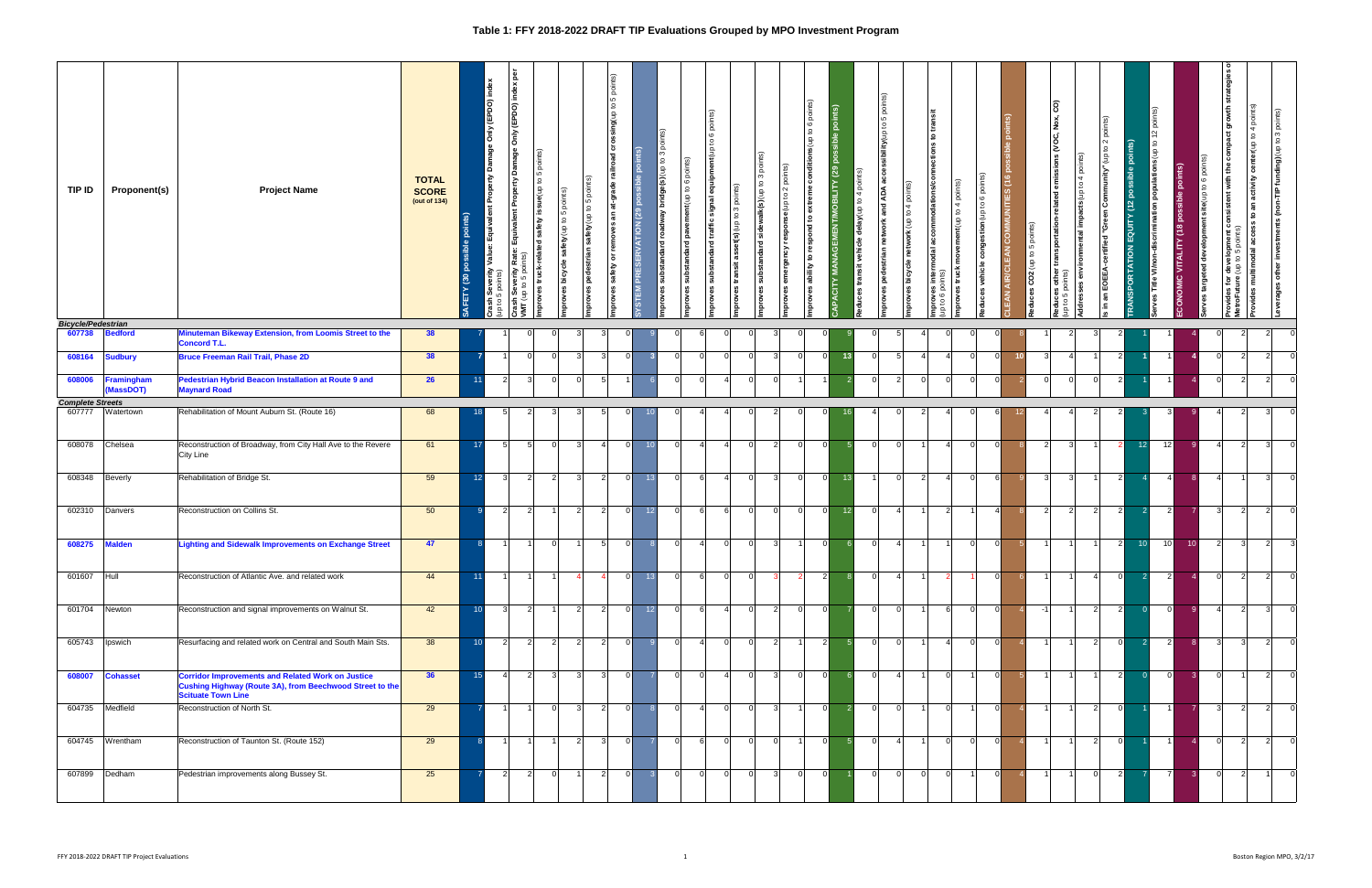## **Table 1: FFY 2018-2022 DRAFT TIP Evaluations Grouped by MPO Investment Program**

| TIP ID                              | <b>Proponent(s)</b>           | <b>Project Name</b>                                                                                                                               | <b>TOTAL</b><br><b>SCORE</b><br>(out of 134) | $\mathbf{a}$<br>ETY <sub>(30</sub> | Only (EPDO)<br>₹<br>s₫<br>ash Severity<br>to 5 points)<br>$\Omega$ | န္တ<br>Only (EPDO) index<br><b>Property Damage</b><br>$\overline{\mathbf{e}}$<br>poi<br>issue(up to 5<br>  E<br>safety<br>Equiva<br>P<br>Rate:<br>truck-relat<br>들 음<br>$\mathbf{S}$<br>oves<br>တိ<br>$\epsilon$<br>İΜ | safety (up to 5 points)<br>bicycle<br>sevo | $\overline{9}$<br>to 5 poin<br>safety (up t<br>pedestrian<br>proves | points)<br>sing(up to 5<br>াত<br>at-grade railroad<br>  តូ<br>removes<br>$\overline{5}$<br>safety<br>proves | ints)<br>$\mathbf{e}$<br>(29)<br>ERVATION<br>$\overline{R}$<br><b>STEM</b> | points)<br>$\frac{3}{2}$<br>bridge(s)(up<br>ldway<br>g<br>dard<br>substan<br>g | ints)<br>to 6 poi<br>lent(up<br>Ê<br>å<br>꾠<br>substar<br>ж | $\widetilde{\omega}$<br>6 poj<br>$\Omega$<br>ent(up<br>$\overline{a}$<br>္ဘ<br>traffic<br>2<br>substar | nts)<br>്<br>$\infty$<br>$\mathbf{Q}$<br>dn) (s)µ<br>transit | ö<br>$\mathfrak{S}$<br>alk(s) (up to<br>side<br>ত<br>sta | ous(up to 6 po<br>ల<br>٣<br>$\sim$<br>ءِ<br>e(up<br>₽<br>respor<br>respond<br>ਨ<br>₽<br>န္ပ<br>ability<br>ő | 亙<br>$\overline{8}$<br>$\bullet$<br>$\mathbf{g}$<br>혼<br>ਨ | å<br>4<br>°<br>dn) <b>Ae</b><br>vehicl<br>÷.<br>trans | to 5 points)<br>ity(up<br>ą<br>ਹੁ<br>ဧ<br>estrian<br>8 | nts)<br>g<br>4<br><b>uk</b> (up to<br>o<br>roves bicycle | ഛ<br>proves intermod<br>, to 6 points) | 4 points)<br>movement (up to<br>truck<br>sevo | ă<br>$\circ$<br>ion(up to  | ints)<br>UNITIES <sub>(16</sub><br>$\frac{z}{4}$<br><b>AIR/CLI</b><br>$\overline{z}$ | ଜି<br>5<br>₽<br>$\overline{CO2}$ (up<br>w | $\overline{6}$<br>Nox,<br>IS (VOC,<br>ਤ<br>ther<br>ints)<br>$\frac{1}{6}$ है<br>ဖွဲ့ မိ<br>⊴ ⊵ | $\mathbf{Q}$<br>읔 | $\sim$<br>$\mathbf{S}$<br>$\hat{\Xi}$<br>$\sum_{n=1}^{\infty}$<br>rtified<br>EOEE<br>្ត្<br>$\equiv$ | its)<br>ă<br>(12)<br>EQUIT<br>PORTATION | $\widehat{\mathbf{e}}$<br>Title | <u>is)</u><br>$\frac{1}{2}$<br>VITALITY<br>၀ | to 6 points)<br>site(up)<br>es targeted develop | center(up to 4 points)<br>act growth<br>with the<br>activity<br>:onsistent<br>់ត<br>ع ا<br>ខ្លួ<br>odal<br>a<br>Pope<br>š<br>άñ<br>ទី ទី<br>ें<br>호 호<br>Netr |                | investments (non-TIP funding)(up to 3 points)<br>other<br>everages |
|-------------------------------------|-------------------------------|---------------------------------------------------------------------------------------------------------------------------------------------------|----------------------------------------------|------------------------------------|--------------------------------------------------------------------|------------------------------------------------------------------------------------------------------------------------------------------------------------------------------------------------------------------------|--------------------------------------------|---------------------------------------------------------------------|-------------------------------------------------------------------------------------------------------------|----------------------------------------------------------------------------|--------------------------------------------------------------------------------|-------------------------------------------------------------|--------------------------------------------------------------------------------------------------------|--------------------------------------------------------------|----------------------------------------------------------|-------------------------------------------------------------------------------------------------------------|------------------------------------------------------------|-------------------------------------------------------|--------------------------------------------------------|----------------------------------------------------------|----------------------------------------|-----------------------------------------------|----------------------------|--------------------------------------------------------------------------------------|-------------------------------------------|------------------------------------------------------------------------------------------------|-------------------|------------------------------------------------------------------------------------------------------|-----------------------------------------|---------------------------------|----------------------------------------------|-------------------------------------------------|---------------------------------------------------------------------------------------------------------------------------------------------------------------|----------------|--------------------------------------------------------------------|
| <b>Bicycle/Pedestrian</b><br>607738 | <b>Bedford</b>                | Minuteman Bikeway Extension, from Loomis Street to the<br>Concord T.L.                                                                            | 38                                           |                                    |                                                                    | $\Omega$                                                                                                                                                                                                               | $\Omega$                                   |                                                                     |                                                                                                             |                                                                            |                                                                                | $\Omega$                                                    | -6<br>$\Omega$                                                                                         |                                                              | 3                                                        | $\Omega$                                                                                                    |                                                            |                                                       | $\Omega$                                               | 5                                                        |                                        |                                               | $\Omega$                   |                                                                                      |                                           | -2                                                                                             | 3                 |                                                                                                      |                                         |                                 |                                              | $\Omega$                                        | $\overline{2}$                                                                                                                                                | 2              | 0                                                                  |
| 608164                              | <b>Sudbury</b>                | <b>Bruce Freeman Rail Trail, Phase 2D</b>                                                                                                         | 38                                           |                                    |                                                                    | $\overline{0}$                                                                                                                                                                                                         | 0                                          | $\mathbf{B}$                                                        | $\mathcal{R}$                                                                                               |                                                                            |                                                                                | 0 I                                                         | 0 I<br>$\Omega$                                                                                        |                                                              | 3                                                        | $\Omega$                                                                                                    |                                                            | -13                                                   | $\Omega$                                               | -51                                                      |                                        |                                               | $\Omega$                   | 10                                                                                   | -3                                        | Δ                                                                                              |                   | $\overline{2}$                                                                                       |                                         |                                 |                                              | $\overline{0}$                                  | $\overline{2}$                                                                                                                                                | 2              |                                                                    |
| 608006                              | Framingham<br><b>MassDOT)</b> | Pedestrian Hybrid Beacon Installation at Route 9 and<br><b>Maynard Road</b>                                                                       | 26                                           | 11                                 | $\overline{2}$                                                     | 3                                                                                                                                                                                                                      | 0                                          | $\Omega$                                                            | -5                                                                                                          |                                                                            |                                                                                | 0 I                                                         | $\Omega$<br>$\overline{4}$                                                                             |                                                              |                                                          |                                                                                                             |                                                            |                                                       | $\overline{0}$                                         | $\overline{2}$                                           |                                        |                                               | $\overline{0}$<br>$\Omega$ |                                                                                      | $\Omega$                                  | $\Omega$                                                                                       | $\Omega$          | $\overline{2}$                                                                                       |                                         |                                 |                                              | 0                                               | $\overline{2}$                                                                                                                                                | $\overline{2}$ | $\Omega$                                                           |
| <b>Complete Streets</b>             |                               |                                                                                                                                                   |                                              |                                    |                                                                    |                                                                                                                                                                                                                        |                                            |                                                                     |                                                                                                             |                                                                            |                                                                                |                                                             |                                                                                                        |                                                              |                                                          |                                                                                                             |                                                            |                                                       |                                                        |                                                          |                                        |                                               |                            |                                                                                      |                                           |                                                                                                |                   |                                                                                                      |                                         |                                 |                                              |                                                 |                                                                                                                                                               |                |                                                                    |
| 607777                              | Watertown                     | Rehabilitation of Mount Auburn St. (Route 16)                                                                                                     | 68                                           | 18                                 | $\sqrt{5}$                                                         | 2                                                                                                                                                                                                                      | 3                                          |                                                                     |                                                                                                             |                                                                            |                                                                                | $\Omega$                                                    | 4                                                                                                      |                                                              |                                                          |                                                                                                             |                                                            |                                                       |                                                        |                                                          |                                        |                                               | $\Omega$                   |                                                                                      |                                           |                                                                                                |                   |                                                                                                      |                                         |                                 |                                              |                                                 | $\mathcal{P}$                                                                                                                                                 |                |                                                                    |
| 608078 Chelsea                      |                               | Reconstruction of Broadway, from City Hall Ave to the Revere<br>City Line                                                                         | 61                                           | 17                                 | 5 <sub>l</sub>                                                     | 5                                                                                                                                                                                                                      | $\mathbf 0$                                | -3                                                                  |                                                                                                             | $\Omega$                                                                   | 10                                                                             | 0 I                                                         | $\overline{4}$<br>4                                                                                    |                                                              | 2                                                        | $\Omega$                                                                                                    |                                                            |                                                       | $\overline{0}$                                         | $\mathbf 0$                                              |                                        |                                               | $\Omega$<br>$\Omega$       |                                                                                      |                                           | 2 <br>3                                                                                        |                   | -2                                                                                                   | 12                                      | 12                              |                                              | $\overline{4}$                                  | $\overline{2}$                                                                                                                                                | -3             | $\overline{0}$                                                     |
| 608348 Beverly                      |                               | Rehabilitation of Bridge St.                                                                                                                      | 59                                           | 12 <sup>2</sup>                    | $\mathbf{3}$                                                       | $\overline{2}$                                                                                                                                                                                                         | $\vert$ 2                                  | $\mathbf{3}$                                                        | 2 <sup>1</sup>                                                                                              | $\Omega$                                                                   | 13                                                                             | $\overline{0}$                                              | 6<br>$\vert$ 4                                                                                         | $\Omega$                                                     | 3                                                        | $\Omega$                                                                                                    | $\Omega$                                                   | 13                                                    |                                                        | $\overline{0}$                                           | 2 <sup>1</sup>                         | $\mathbf{A}$                                  | 0 I<br>6                   |                                                                                      |                                           | $\overline{3}$<br>$\overline{3}$                                                               |                   | $\overline{2}$                                                                                       |                                         | $\overline{4}$                  |                                              | $\overline{4}$                                  |                                                                                                                                                               | $\mathbf{3}$   | $\overline{0}$                                                     |
|                                     | 602310 Danvers                | Reconstruction on Collins St.                                                                                                                     | 50                                           | q                                  | $\vert$ 2                                                          | $\overline{2}$                                                                                                                                                                                                         | $\overline{1}$                             | $\vert$ 2                                                           | <b>2</b>                                                                                                    | - Ol                                                                       | 12                                                                             | 0                                                           | 6<br>6                                                                                                 | $\Omega$                                                     | 0 I                                                      | $\overline{0}$                                                                                              | $\Omega$                                                   | 12                                                    | $\overline{0}$                                         | $\overline{4}$                                           |                                        | -21                                           | 11<br>$\overline{4}$       |                                                                                      |                                           | $\overline{2}$<br>$\vert$ 2                                                                    | $\overline{2}$    | $\overline{2}$                                                                                       | $\overline{2}$                          | $\overline{2}$                  |                                              | 3                                               | $\overline{2}$                                                                                                                                                | $\overline{2}$ | $\overline{0}$                                                     |
| 608275   Malden                     |                               | <b>Lighting and Sidewalk Improvements on Exchange Street</b>                                                                                      | 47                                           |                                    |                                                                    |                                                                                                                                                                                                                        | 0                                          |                                                                     | -5                                                                                                          |                                                                            |                                                                                | 01                                                          | -41<br>. O                                                                                             |                                                              |                                                          |                                                                                                             |                                                            |                                                       | $\Omega$                                               | $\overline{4}$                                           |                                        |                                               | $\Omega$<br>0              |                                                                                      |                                           |                                                                                                |                   | 2                                                                                                    | 10 <sup>1</sup>                         | 10 <sup>1</sup>                 | 10 <sup>1</sup>                              | $\overline{2}$                                  | -3                                                                                                                                                            | 2              |                                                                    |
| 601607 Hull                         |                               | Reconstruction of Atlantic Ave. and related work                                                                                                  | 44                                           | 11                                 |                                                                    |                                                                                                                                                                                                                        |                                            |                                                                     |                                                                                                             | $\Omega$                                                                   | 13                                                                             | $\overline{0}$                                              | 6<br>$\Omega$                                                                                          |                                                              |                                                          |                                                                                                             |                                                            |                                                       | $\overline{0}$                                         | $\overline{4}$                                           |                                        |                                               | $\Omega$                   |                                                                                      |                                           |                                                                                                |                   | $\Omega$                                                                                             |                                         | $\overline{2}$                  |                                              | $\overline{0}$                                  | $\overline{2}$                                                                                                                                                | $\overline{2}$ | $\overline{0}$                                                     |
| 601704 Newton                       |                               | Reconstruction and signal improvements on Walnut St.                                                                                              | 42                                           | 10 <sup>1</sup>                    | 3                                                                  | $\vert$ 2                                                                                                                                                                                                              | -11-                                       | $\overline{2}$                                                      | $\overline{2}$                                                                                              | 0                                                                          | 12                                                                             | 0                                                           | 6                                                                                                      | $\overline{4}$                                               | $\overline{2}$                                           | $\overline{0}$                                                                                              | $\Omega$                                                   |                                                       | $\overline{0}$                                         | $\overline{0}$                                           |                                        | -61                                           | 0 I                        | - Ol                                                                                 | $-1$                                      |                                                                                                | $\overline{2}$    | $\overline{2}$                                                                                       | $\overline{0}$                          | - ol                            | -91                                          | $\vert$ 4                                       | $\overline{2}$                                                                                                                                                | 3 <sup>1</sup> | $\overline{0}$                                                     |
| 605743 lpswich                      |                               | Resurfacing and related work on Central and South Main Sts.                                                                                       | 38                                           | 10 <sup>1</sup>                    | 2                                                                  | $\mathbf{2}$                                                                                                                                                                                                           | $\overline{2}$                             | $\overline{2}$                                                      | $\overline{2}$                                                                                              | 0l                                                                         | - 91                                                                           | $\overline{0}$                                              | 0 <br>$\overline{4}$                                                                                   | $\Omega$                                                     | $\vert$ 2                                                | 1                                                                                                           | $\overline{2}$                                             | 5 <sup>1</sup>                                        | $\overline{0}$                                         | 0                                                        |                                        | $\vert$ 4                                     | 0                          | 0 <br>- 4                                                                            |                                           | 11                                                                                             | 2                 | $\overline{0}$                                                                                       | $\overline{2}$                          | $\vert$ 2                       | 8 <sup>1</sup>                               | $\vert$ 3                                       | $\vert$ 3                                                                                                                                                     | $\overline{2}$ | $\overline{0}$                                                     |
| 608007                              | <b>Cohasset</b>               | <b>Corridor Improvements and Related Work on Justice</b><br>Cushing Highway (Route 3A), from Beechwood Street to the<br><b>Scituate Town Line</b> | 36                                           | 15                                 | $\vert$ 4                                                          | $\overline{2}$                                                                                                                                                                                                         | $\mathbf{3}$                               | -3                                                                  | -31                                                                                                         | - Ol                                                                       |                                                                                | 0                                                           | 0                                                                                                      | $\vert$ 4<br>$\Omega$                                        | $\mathbf{3}$                                             | $\overline{0}$                                                                                              | $\Omega$                                                   | -6                                                    | $\overline{0}$                                         | $\vert$ 4                                                |                                        | - 0 I                                         | $\Omega$<br>11             |                                                                                      |                                           | 11                                                                                             |                   | $\overline{2}$                                                                                       | $\vert 0 \vert$                         | 0                               | $\lceil 3 \rceil$                            | $\overline{0}$                                  |                                                                                                                                                               | $\overline{2}$ | $\overline{0}$                                                     |
| 604735 Medfield                     |                               | Reconstruction of North St.                                                                                                                       | 29                                           |                                    | $\overline{1}$                                                     | 11                                                                                                                                                                                                                     | $\overline{0}$                             | $\mathbf{B}$                                                        | <b>2</b>                                                                                                    | 0l                                                                         | - 81                                                                           | 0 l                                                         | $\overline{0}$<br>$\overline{4}$                                                                       | ി                                                            | 3                                                        | 1                                                                                                           | $\Omega$                                                   | $\vert$ 2                                             | $\overline{0}$                                         | 0                                                        |                                        | - Ol                                          | $\overline{1}$             | 0                                                                                    |                                           | 11<br>$\overline{1}$                                                                           | 2                 | $\overline{0}$                                                                                       |                                         | $\overline{1}$                  | $\overline{7}$                               | $3 \mid$                                        | $\overline{2}$                                                                                                                                                | $\vert$ 2      | $\overline{0}$                                                     |
|                                     | 604745 Wrentham               | Reconstruction of Taunton St. (Route 152)                                                                                                         | 29                                           | -8                                 | 11                                                                 |                                                                                                                                                                                                                        |                                            |                                                                     |                                                                                                             | $\Omega$                                                                   |                                                                                | $\overline{0}$                                              | 6<br>$\Omega$                                                                                          |                                                              | $\Omega$                                                 |                                                                                                             | $\Omega$                                                   |                                                       | $\overline{0}$                                         | $\overline{4}$                                           |                                        |                                               | 0l<br>$\Omega$             |                                                                                      |                                           |                                                                                                | $\overline{2}$    | $\overline{0}$                                                                                       |                                         | $\overline{1}$                  |                                              | $\overline{0}$                                  | $\overline{2}$                                                                                                                                                | $\overline{2}$ | $\overline{0}$                                                     |
| 607899                              | Dedham                        | Pedestrian improvements along Bussey St.                                                                                                          | 25                                           |                                    | $\vert$ 2                                                          | $\overline{2}$                                                                                                                                                                                                         | $\overline{0}$                             |                                                                     | $\overline{2}$                                                                                              | - Ol                                                                       |                                                                                | $\Omega$                                                    | $\overline{0}$<br> 0                                                                                   | n.                                                           | -3                                                       | 0                                                                                                           | $\Omega$                                                   |                                                       | $\overline{0}$                                         | 0                                                        | $\Omega$                               | $\Omega$                                      | $1 \vert$<br>- 0           |                                                                                      |                                           |                                                                                                | $\Omega$          | $\overline{2}$                                                                                       |                                         | - 71                            |                                              | $\overline{0}$                                  | $\overline{2}$                                                                                                                                                | $\overline{1}$ | $\overline{\mathbf{0}}$                                            |